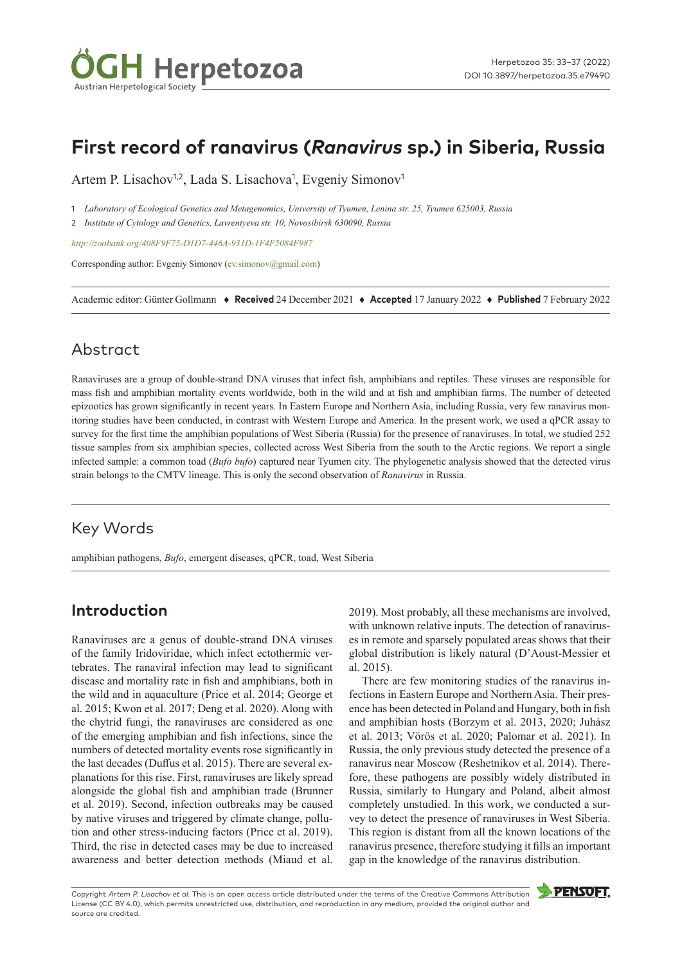

# **First record of ranavirus (***Ranavirus* **sp.) in Siberia, Russia**

Artem P. Lisachov<sup>1,2</sup>, Lada S. Lisachova<sup>1</sup>, Evgeniy Simonov<sup>1</sup>

1 *Laboratory of Ecological Genetics and Metagenomics, University of Tyumen, Lenina str. 25, Tyumen 625003, Russia*

2 *Institute of Cytology and Genetics, Lavrentyeva str. 10, Novosibirsk 630090, Russia*

*<http://zoobank.org/408F9F75-D1D7-446A-931D-1F4F5084F987>*

Corresponding author: Evgeniy Simonov ([ev.simonov@gmail.com\)](mailto:ev.simonov@gmail.com)

Academic editor: Günter Gollmann ♦ **Received** 24 December 2021 ♦ **Accepted** 17 January 2022 ♦ **Published** 7 February 2022

### Abstract

Ranaviruses are a group of double-strand DNA viruses that infect fish, amphibians and reptiles. These viruses are responsible for mass fish and amphibian mortality events worldwide, both in the wild and at fish and amphibian farms. The number of detected epizootics has grown significantly in recent years. In Eastern Europe and Northern Asia, including Russia, very few ranavirus monitoring studies have been conducted, in contrast with Western Europe and America. In the present work, we used a qPCR assay to survey for the first time the amphibian populations of West Siberia (Russia) for the presence of ranaviruses. In total, we studied 252 tissue samples from six amphibian species, collected across West Siberia from the south to the Arctic regions. We report a single infected sample: a common toad (*Bufo bufo*) captured near Tyumen city. The phylogenetic analysis showed that the detected virus strain belongs to the CMTV lineage. This is only the second observation of *Ranavirus* in Russia.

### Key Words

amphibian pathogens, *Bufo*, emergent diseases, qPCR, toad, West Siberia

## **Introduction**

Ranaviruses are a genus of double-strand DNA viruses of the family Iridoviridae, which infect ectothermic vertebrates. The ranaviral infection may lead to significant disease and mortality rate in fish and amphibians, both in the wild and in aquaculture (Price et al. 2014; George et al. 2015; Kwon et al. 2017; Deng et al. 2020). Along with the chytrid fungi, the ranaviruses are considered as one of the emerging amphibian and fish infections, since the numbers of detected mortality events rose significantly in the last decades (Duffus et al. 2015). There are several explanations for this rise. First, ranaviruses are likely spread alongside the global fish and amphibian trade (Brunner et al. 2019). Second, infection outbreaks may be caused by native viruses and triggered by climate change, pollution and other stress-inducing factors (Price et al. 2019). Third, the rise in detected cases may be due to increased awareness and better detection methods (Miaud et al. 2019). Most probably, all these mechanisms are involved, with unknown relative inputs. The detection of ranaviruses in remote and sparsely populated areas shows that their global distribution is likely natural (D'Aoust-Messier et al. 2015).

There are few monitoring studies of the ranavirus infections in Eastern Europe and Northern Asia. Their presence has been detected in Poland and Hungary, both in fish and amphibian hosts (Borzym et al. 2013, 2020; Juhász et al. 2013; Vörös et al. 2020; Palomar et al. 2021). In Russia, the only previous study detected the presence of a ranavirus near Moscow (Reshetnikov et al. 2014). Therefore, these pathogens are possibly widely distributed in Russia, similarly to Hungary and Poland, albeit almost completely unstudied. In this work, we conducted a survey to detect the presence of ranaviruses in West Siberia. This region is distant from all the known locations of the ranavirus presence, therefore studying it fills an important gap in the knowledge of the ranavirus distribution.

Copyright *Artem P. Lisachov et al.* This is an open access article distributed under the terms of the [Creative Commons Attribution](http://creativecommons.org/licenses/by/4.0/)  [License \(CC BY 4.0\),](http://creativecommons.org/licenses/by/4.0/) which permits unrestricted use, distribution, and reproduction in any medium, provided the original author and source are credited.

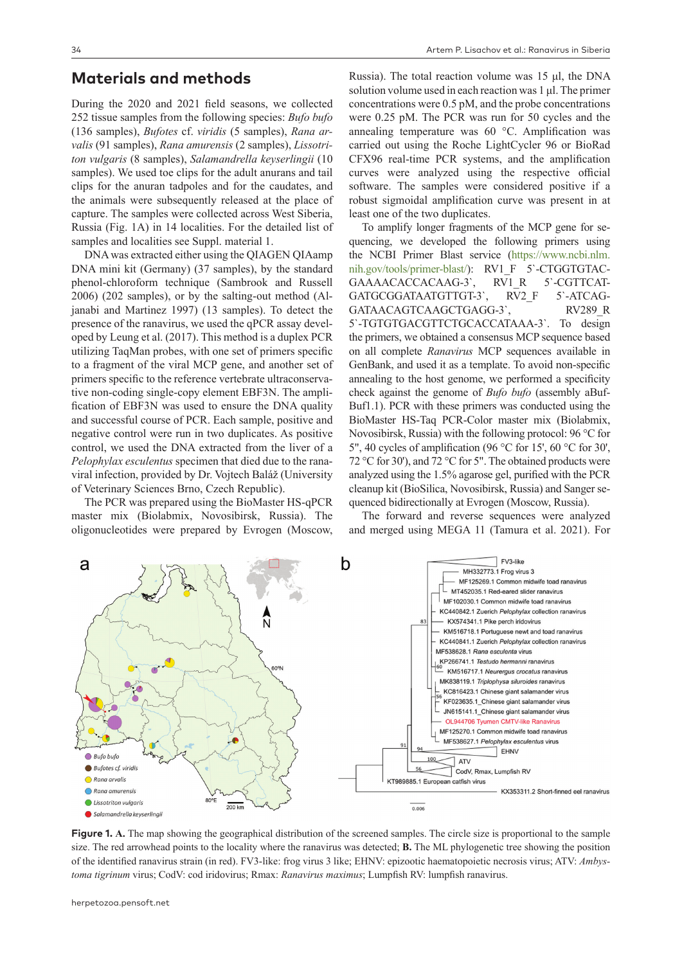#### **Materials and methods**

During the 2020 and 2021 field seasons, we collected 252 tissue samples from the following species: *Bufo bufo* (136 samples), *Bufotes* cf. *viridis* (5 samples), *Rana arvalis* (91 samples), *Rana amurensis* (2 samples), *Lissotriton vulgaris* (8 samples), *Salamandrella keyserlingii* (10 samples). We used toe clips for the adult anurans and tail clips for the anuran tadpoles and for the caudates, and the animals were subsequently released at the place of capture. The samples were collected across West Siberia, Russia (Fig. 1A) in 14 localities. For the detailed list of samples and localities see Suppl. material 1.

DNA was extracted either using the QIAGEN QIAamp DNA mini kit (Germany) (37 samples), by the standard phenol-chloroform technique (Sambrook and Russell 2006) (202 samples), or by the salting-out method (Aljanabi and Martinez 1997) (13 samples). To detect the presence of the ranavirus, we used the qPCR assay developed by Leung et al. (2017). This method is a duplex PCR utilizing TaqMan probes, with one set of primers specific to a fragment of the viral MCP gene, and another set of primers specific to the reference vertebrate ultraconservative non-coding single-copy element EBF3N. The amplification of EBF3N was used to ensure the DNA quality and successful course of PCR. Each sample, positive and negative control were run in two duplicates. As positive control, we used the DNA extracted from the liver of a *Pelophylax esculentus* specimen that died due to the ranaviral infection, provided by Dr. Vojtech Baláž (University of Veterinary Sciences Brno, Czech Republic).

The PCR was prepared using the BioMaster HS-qPCR master mix (Biolabmix, Novosibirsk, Russia). The oligonucleotides were prepared by Evrogen (Moscow,

A<br>N

Russia). The total reaction volume was 15 μl, the DNA solution volume used in each reaction was 1 μl. The primer concentrations were 0.5 pM, and the probe concentrations were 0.25 pM. The PCR was run for 50 cycles and the annealing temperature was 60 °C. Amplification was carried out using the Roche LightCycler 96 or BioRad CFX96 real-time PCR systems, and the amplification curves were analyzed using the respective official software. The samples were considered positive if a robust sigmoidal amplification curve was present in at least one of the two duplicates.

To amplify longer fragments of the MCP gene for sequencing, we developed the following primers using the NCBI Primer Blast service ([https://www.ncbi.nlm.](https://www.ncbi.nlm.nih.gov/tools/primer-blast/) [nih.gov/tools/primer-blast/](https://www.ncbi.nlm.nih.gov/tools/primer-blast/)): RV1\_F 5`-CTGGTGTAC-GAAAACACCACAAG-3`, RV1 R 5`-CGTTCAT-GATGCGGATAATGTTGT-3`, RV2 F 5`-ATCAG-GATAACAGTCAAGCTGAGG-3`, RV289 R 5`-TGTGTGACGTTCTGCACCATAAA-3`. To design the primers, we obtained a consensus MCP sequence based on all complete *Ranavirus* MCP sequences available in GenBank, and used it as a template. To avoid non-specific annealing to the host genome, we performed a specificity check against the genome of *Bufo bufo* (assembly aBuf-Buf1.1). PCR with these primers was conducted using the BioMaster HS-Taq PCR-Color master mix (Biolabmix, Novosibirsk, Russia) with the following protocol: 96 °C for 5", 40 cycles of amplification (96 °C for 15', 60 °C for 30', 72 °C for 30'), and 72 °C for 5". The obtained products were analyzed using the 1.5% agarose gel, purified with the PCR cleanup kit (BioSilica, Novosibirsk, Russia) and Sanger sequenced bidirectionally at Evrogen (Moscow, Russia).

The forward and reverse sequences were analyzed and merged using MEGA 11 (Tamura et al. 2021). For

 $F<sub>V3</sub>$ like

MF125269.1 Common midwife toad ranavirus  $\perp$  MT452035.1 Red-eared slider ranavirus MF102030.1 Common midwife toad ranavirus KC440842.1 Zuerich Pelophylax collection ranavirus

MH332773.1 Frog virus 3

KX574341.1 Pike perch iridovirus KM516718.1 Portuguese newt and toad ranavirus KC440841.1 Zuerich Pelophylax collection ranavirus

.<br>CodV, Rmax, Lumpfish RV

KX353311.2 Short-finned eel ranavirus

MF538628.1 Rana esculenta virus KP266741.1 Testudo hermanni ranavirus KM516717.1 Neurergus crocatus ranavirus MK838119.1 Triplophysa siluroides ranavirus KC816423.1 Chinese giant salamander virus KF023635.1 Chinese giant salamander virus JN615141.1 Chinese giant salamander virus OL944706 Tyumen CMTV-like Ranavirus MF125270.1 Common midwife toad ranavirus MF538627.1 Pelophylax esculentus virus EHNV

100

KT989885.1 European catfish virus

56

**ATV** 



b

Bufo bufo

Rana arvalis

Bufotes cf. viridis

◯ Rana amurensis

a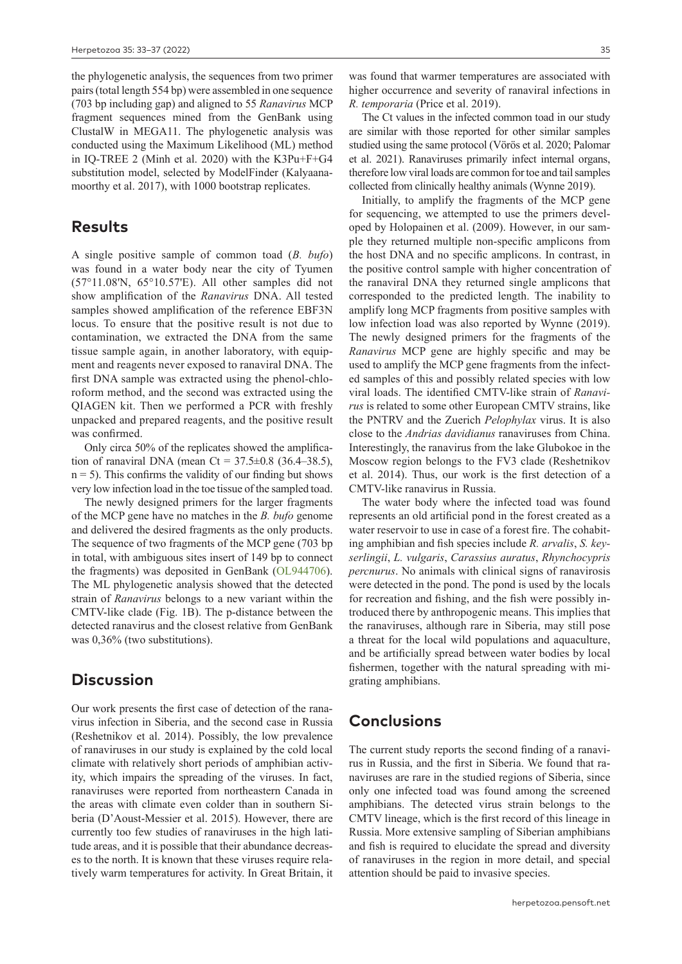the phylogenetic analysis, the sequences from two primer pairs (total length 554 bp) were assembled in one sequence (703 bp including gap) and aligned to 55 *Ranavirus* MCP fragment sequences mined from the GenBank using ClustalW in MEGA11. The phylogenetic analysis was conducted using the Maximum Likelihood (ML) method in IQ-TREE 2 (Minh et al. 2020) with the K3Pu+F+G4 substitution model, selected by ModelFinder (Kalyaanamoorthy et al. 2017), with 1000 bootstrap replicates.

#### **Results**

A single positive sample of common toad (*B. bufo*) was found in a water body near the city of Tyumen (57°11.08'N, 65°10.57'E). All other samples did not show amplification of the *Ranavirus* DNA. All tested samples showed amplification of the reference EBF3N locus. To ensure that the positive result is not due to contamination, we extracted the DNA from the same tissue sample again, in another laboratory, with equipment and reagents never exposed to ranaviral DNA. The first DNA sample was extracted using the phenol-chloroform method, and the second was extracted using the QIAGEN kit. Then we performed a PCR with freshly unpacked and prepared reagents, and the positive result was confirmed.

Only circa 50% of the replicates showed the amplification of ranaviral DNA (mean Ct =  $37.5 \pm 0.8$  (36.4–38.5),  $n = 5$ ). This confirms the validity of our finding but shows very low infection load in the toe tissue of the sampled toad.

The newly designed primers for the larger fragments of the MCP gene have no matches in the *B. bufo* genome and delivered the desired fragments as the only products. The sequence of two fragments of the MCP gene (703 bp in total, with ambiguous sites insert of 149 bp to connect the fragments) was deposited in GenBank [\(OL944706](http://www.ncbi.nlm.nih.gov/nuccore/OL944706)). The ML phylogenetic analysis showed that the detected strain of *Ranavirus* belongs to a new variant within the CMTV-like clade (Fig. 1B). The p-distance between the detected ranavirus and the closest relative from GenBank was 0,36% (two substitutions).

#### **Discussion**

Our work presents the first case of detection of the ranavirus infection in Siberia, and the second case in Russia (Reshetnikov et al. 2014). Possibly, the low prevalence of ranaviruses in our study is explained by the cold local climate with relatively short periods of amphibian activity, which impairs the spreading of the viruses. In fact, ranaviruses were reported from northeastern Canada in the areas with climate even colder than in southern Siberia (D'Aoust-Messier et al. 2015). However, there are currently too few studies of ranaviruses in the high latitude areas, and it is possible that their abundance decreases to the north. It is known that these viruses require relatively warm temperatures for activity. In Great Britain, it

was found that warmer temperatures are associated with higher occurrence and severity of ranaviral infections in *R. temporaria* (Price et al. 2019).

The Ct values in the infected common toad in our study are similar with those reported for other similar samples studied using the same protocol (Vörös et al. 2020; Palomar et al. 2021). Ranaviruses primarily infect internal organs, therefore low viral loads are common for toe and tail samples collected from clinically healthy animals (Wynne 2019).

Initially, to amplify the fragments of the MCP gene for sequencing, we attempted to use the primers developed by Holopainen et al. (2009). However, in our sample they returned multiple non-specific amplicons from the host DNA and no specific amplicons. In contrast, in the positive control sample with higher concentration of the ranaviral DNA they returned single amplicons that corresponded to the predicted length. The inability to amplify long MCP fragments from positive samples with low infection load was also reported by Wynne (2019). The newly designed primers for the fragments of the *Ranavirus* MCP gene are highly specific and may be used to amplify the MCP gene fragments from the infected samples of this and possibly related species with low viral loads. The identified CMTV-like strain of *Ranavirus* is related to some other European CMTV strains, like the PNTRV and the Zuerich *Pelophylax* virus. It is also close to the *Andrias davidianus* ranaviruses from China. Interestingly, the ranavirus from the lake Glubokoe in the Moscow region belongs to the FV3 clade (Reshetnikov et al. 2014). Thus, our work is the first detection of a CMTV-like ranavirus in Russia.

The water body where the infected toad was found represents an old artificial pond in the forest created as a water reservoir to use in case of a forest fire. The cohabiting amphibian and fish species include *R. arvalis*, *S. keyserlingii*, *L. vulgaris*, *Carassius auratus*, *Rhynchocypris percnurus*. No animals with clinical signs of ranavirosis were detected in the pond. The pond is used by the locals for recreation and fishing, and the fish were possibly introduced there by anthropogenic means. This implies that the ranaviruses, although rare in Siberia, may still pose a threat for the local wild populations and aquaculture, and be artificially spread between water bodies by local fishermen, together with the natural spreading with migrating amphibians.

### **Conclusions**

The current study reports the second finding of a ranavirus in Russia, and the first in Siberia. We found that ranaviruses are rare in the studied regions of Siberia, since only one infected toad was found among the screened amphibians. The detected virus strain belongs to the CMTV lineage, which is the first record of this lineage in Russia. More extensive sampling of Siberian amphibians and fish is required to elucidate the spread and diversity of ranaviruses in the region in more detail, and special attention should be paid to invasive species.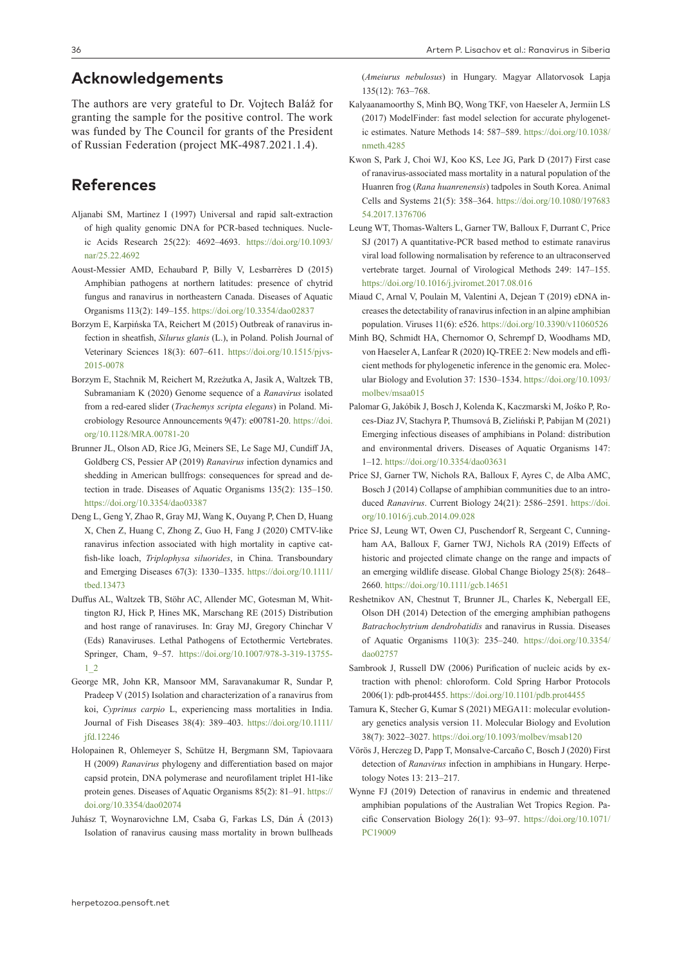#### **Acknowledgements**

The authors are very grateful to Dr. Vojtech Baláž for granting the sample for the positive control. The work was funded by The Council for grants of the President of Russian Federation (project МК-4987.2021.1.4).

### **References**

- Aljanabi SM, Martinez I (1997) Universal and rapid salt-extraction of high quality genomic DNA for PCR-based techniques. Nucleic Acids Research 25(22): 4692–4693. [https://doi.org/10.1093/](https://doi.org/10.1093/nar/25.22.4692) [nar/25.22.4692](https://doi.org/10.1093/nar/25.22.4692)
- Aoust-Messier AMD, Echaubard P, Billy V, Lesbarrères D (2015) Amphibian pathogens at northern latitudes: presence of chytrid fungus and ranavirus in northeastern Canada. Diseases of Aquatic Organisms 113(2): 149–155.<https://doi.org/10.3354/dao02837>
- Borzym E, Karpińska TA, Reichert M (2015) Outbreak of ranavirus infection in sheatfish, *Silurus glanis* (L.), in Poland. Polish Journal of Veterinary Sciences 18(3): 607–611. [https://doi.org/10.1515/pjvs-](https://doi.org/10.1515/pjvs-2015-0078)[2015-0078](https://doi.org/10.1515/pjvs-2015-0078)
- Borzym E, Stachnik M, Reichert M, Rzeżutka A, Jasik A, Waltzek TB, Subramaniam K (2020) Genome sequence of a *Ranavirus* isolated from a red-eared slider (*Trachemys scripta elegans*) in Poland. Microbiology Resource Announcements 9(47): e00781-20. [https://doi.](https://doi.org/10.1128/MRA.00781-20) [org/10.1128/MRA.00781-20](https://doi.org/10.1128/MRA.00781-20)
- Brunner JL, Olson AD, Rice JG, Meiners SE, Le Sage MJ, Cundiff JA, Goldberg CS, Pessier AP (2019) *Ranavirus* infection dynamics and shedding in American bullfrogs: consequences for spread and detection in trade. Diseases of Aquatic Organisms 135(2): 135–150. <https://doi.org/10.3354/dao03387>
- Deng L, Geng Y, Zhao R, Gray MJ, Wang K, Ouyang P, Chen D, Huang X, Chen Z, Huang C, Zhong Z, Guo H, Fang J (2020) CMTV-like ranavirus infection associated with high mortality in captive catfish-like loach, *Triplophysa siluorides*, in China. Transboundary and Emerging Diseases 67(3): 1330–1335. [https://doi.org/10.1111/](https://doi.org/10.1111/tbed.13473) [tbed.13473](https://doi.org/10.1111/tbed.13473)
- Duffus AL, Waltzek TB, Stöhr AC, Allender MC, Gotesman M, Whittington RJ, Hick P, Hines MK, Marschang RE (2015) Distribution and host range of ranaviruses. In: Gray MJ, Gregory Chinchar V (Eds) Ranaviruses. Lethal Pathogens of Ectothermic Vertebrates. Springer, Cham, 9–57. [https://doi.org/10.1007/978-3-319-13755-](https://doi.org/10.1007/978-3-319-13755-1_2) [1\\_2](https://doi.org/10.1007/978-3-319-13755-1_2)
- George MR, John KR, Mansoor MM, Saravanakumar R, Sundar P, Pradeep V (2015) Isolation and characterization of a ranavirus from koi, *Cyprinus carpio* L, experiencing mass mortalities in India. Journal of Fish Diseases 38(4): 389–403. [https://doi.org/10.1111/](https://doi.org/10.1111/jfd.12246) [jfd.12246](https://doi.org/10.1111/jfd.12246)
- Holopainen R, Ohlemeyer S, Schütze H, Bergmann SM, Tapiovaara H (2009) *Ranavirus* phylogeny and differentiation based on major capsid protein, DNA polymerase and neurofilament triplet H1-like protein genes. Diseases of Aquatic Organisms 85(2): 81–91. [https://](https://doi.org/10.3354/dao02074) [doi.org/10.3354/dao02074](https://doi.org/10.3354/dao02074)
- Juhász T, Woynarovichne LM, Csaba G, Farkas LS, Dán Á (2013) Isolation of ranavirus causing mass mortality in brown bullheads

(*Ameiurus nebulosus*) in Hungary. Magyar Allatorvosok Lapja 135(12): 763–768.

- Kalyaanamoorthy S, Minh BQ, Wong TKF, von Haeseler A, Jermiin LS (2017) ModelFinder: fast model selection for accurate phylogenetic estimates. Nature Methods 14: 587–589. [https://doi.org/10.1038/](https://doi.org/10.1038/nmeth.4285) [nmeth.4285](https://doi.org/10.1038/nmeth.4285)
- Kwon S, Park J, Choi WJ, Koo KS, Lee JG, Park D (2017) First case of ranavirus-associated mass mortality in a natural population of the Huanren frog (*Rana huanrenensis*) tadpoles in South Korea. Animal Cells and Systems 21(5): 358–364. [https://doi.org/10.1080/197683](https://doi.org/10.1080/19768354.2017.1376706) [54.2017.1376706](https://doi.org/10.1080/19768354.2017.1376706)
- Leung WT, Thomas-Walters L, Garner TW, Balloux F, Durrant C, Price SJ (2017) A quantitative-PCR based method to estimate ranavirus viral load following normalisation by reference to an ultraconserved vertebrate target. Journal of Virological Methods 249: 147–155. <https://doi.org/10.1016/j.jviromet.2017.08.016>
- Miaud C, Arnal V, Poulain M, Valentini A, Dejean T (2019) eDNA increases the detectability of ranavirus infection in an alpine amphibian population. Viruses 11(6): e526.<https://doi.org/10.3390/v11060526>
- Minh BQ, Schmidt HA, Chernomor O, Schrempf D, Woodhams MD, von Haeseler A, Lanfear R (2020) IQ-TREE 2: New models and efficient methods for phylogenetic inference in the genomic era. Molecular Biology and Evolution 37: 1530–1534. [https://doi.org/10.1093/](https://doi.org/10.1093/molbev/msaa015) [molbev/msaa015](https://doi.org/10.1093/molbev/msaa015)
- Palomar G, Jakóbik J, Bosch J, Kolenda K, Kaczmarski M, Jośko P, Roces-Diaz JV, Stachyra P, Thumsová B, Zieliński P, Pabijan M (2021) Emerging infectious diseases of amphibians in Poland: distribution and environmental drivers. Diseases of Aquatic Organisms 147: 1–12.<https://doi.org/10.3354/dao03631>
- Price SJ, Garner TW, Nichols RA, Balloux F, Ayres C, de Alba AMC, Bosch J (2014) Collapse of amphibian communities due to an introduced *Ranavirus*. Current Biology 24(21): 2586–2591. [https://doi.](https://doi.org/10.1016/j.cub.2014.09.028) [org/10.1016/j.cub.2014.09.028](https://doi.org/10.1016/j.cub.2014.09.028)
- Price SJ, Leung WT, Owen CJ, Puschendorf R, Sergeant C, Cunningham AA, Balloux F, Garner TWJ, Nichols RA (2019) Effects of historic and projected climate change on the range and impacts of an emerging wildlife disease. Global Change Biology 25(8): 2648– 2660.<https://doi.org/10.1111/gcb.14651>
- Reshetnikov AN, Chestnut T, Brunner JL, Charles K, Nebergall EE, Olson DH (2014) Detection of the emerging amphibian pathogens *Batrachochytrium dendrobatidis* and ranavirus in Russia. Diseases of Aquatic Organisms 110(3): 235–240. [https://doi.org/10.3354/](https://doi.org/10.3354/dao02757) [dao02757](https://doi.org/10.3354/dao02757)
- Sambrook J, Russell DW (2006) Purification of nucleic acids by extraction with phenol: chloroform. Cold Spring Harbor Protocols 2006(1): pdb-prot4455.<https://doi.org/10.1101/pdb.prot4455>
- Tamura K, Stecher G, Kumar S (2021) MEGA11: molecular evolutionary genetics analysis version 11. Molecular Biology and Evolution 38(7): 3022–3027. <https://doi.org/10.1093/molbev/msab120>
- Vörös J, Herczeg D, Papp T, Monsalve-Carcaño C, Bosch J (2020) First detection of *Ranavirus* infection in amphibians in Hungary. Herpetology Notes 13: 213–217.
- Wynne FJ (2019) Detection of ranavirus in endemic and threatened amphibian populations of the Australian Wet Tropics Region. Pacific Conservation Biology 26(1): 93–97. [https://doi.org/10.1071/](https://doi.org/10.1071/PC19009) [PC19009](https://doi.org/10.1071/PC19009)